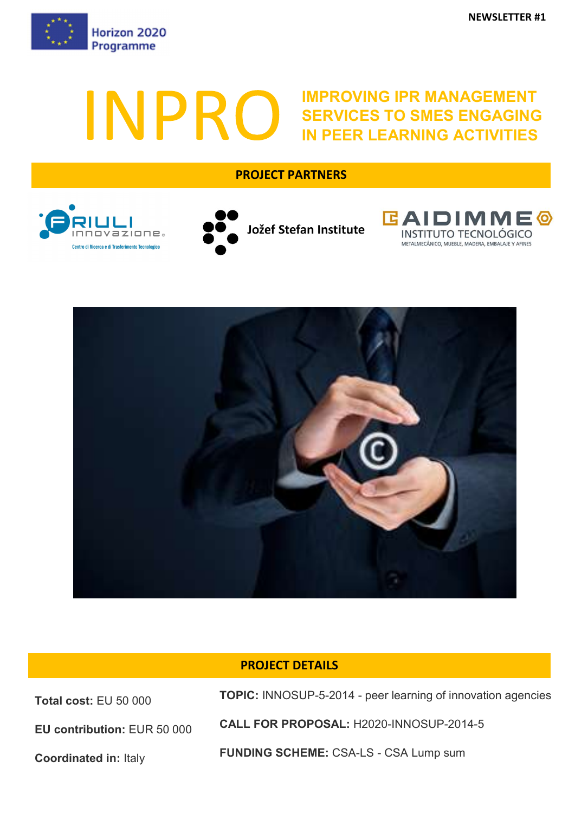

# IMPROVING IPR MANAGEMENT INPRO SERVICES TO SMES ENGAGING IN PEER LEARNING ACTIVITIES

## PROJECT PARTNERS









## PROJECT DETAILS

Total cost: EU 50 000

EU contribution: EUR 50 000

Coordinated in: Italy

TOPIC: INNOSUP-5-2014 - peer learning of innovation agencies

CALL FOR PROPOSAL: H2020-INNOSUP-2014-5

FUNDING SCHEME: CSA-LS - CSA Lump sum